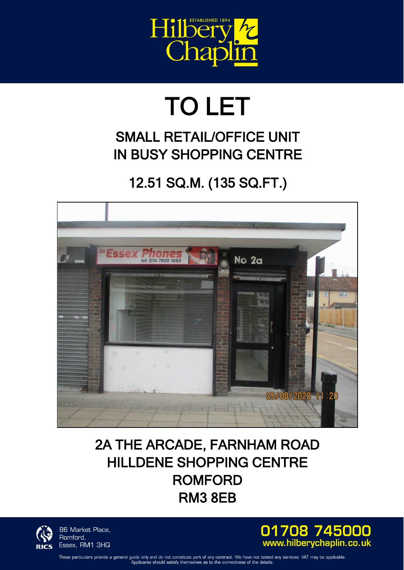

## TO LET

## SMALL RETAIL/OFFICE UNIT IN BUSY SHOPPING CENTRE

## 12.51 SQ.M. (135 SQ.FT.)



## 2A THE ARCADE, FARNHAM ROAD HILLDENE SHOPPING CENTRE ROMFORD RM3 8EB



86 Market Place, Romford, Essex, RM1 3HQ



These particulars provide a general guide only and do not constitute part of any contract. We have not tested any services. VAT may be applicable Applicants should satisfy themselves as to the correctness of the details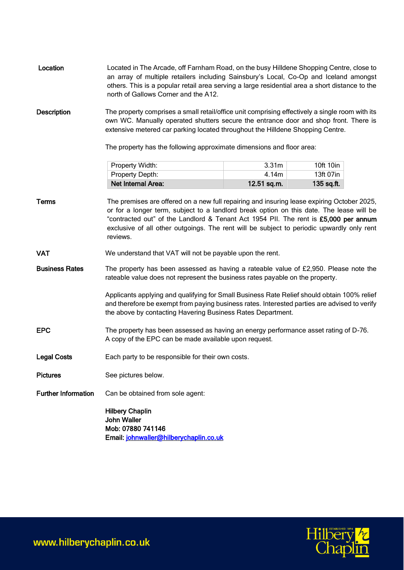| Location                   | Located in The Arcade, off Farnham Road, on the busy Hilldene Shopping Centre, close to<br>an array of multiple retailers including Sainsbury's Local, Co-Op and Iceland amongst<br>others. This is a popular retail area serving a large residential area a short distance to the<br>north of Gallows Corner and the A12.                                                              |                                           |                                      |
|----------------------------|-----------------------------------------------------------------------------------------------------------------------------------------------------------------------------------------------------------------------------------------------------------------------------------------------------------------------------------------------------------------------------------------|-------------------------------------------|--------------------------------------|
| <b>Description</b>         | The property comprises a small retail/office unit comprising effectively a single room with its<br>own WC. Manually operated shutters secure the entrance door and shop front. There is<br>extensive metered car parking located throughout the Hilldene Shopping Centre.<br>The property has the following approximate dimensions and floor area:                                      |                                           |                                      |
|                            |                                                                                                                                                                                                                                                                                                                                                                                         |                                           |                                      |
|                            | Property Width:<br>Property Depth:<br>Net Internal Area:                                                                                                                                                                                                                                                                                                                                | 3.31 <sub>m</sub><br>4.14m<br>12.51 sq.m. | 10ft 10in<br>13ft 07in<br>135 sq.ft. |
| <b>Terms</b>               | The premises are offered on a new full repairing and insuring lease expiring October 2025,<br>or for a longer term, subject to a landlord break option on this date. The lease will be<br>"contracted out" of the Landlord & Tenant Act 1954 PII. The rent is £5,000 per annum<br>exclusive of all other outgoings. The rent will be subject to periodic upwardly only rent<br>reviews. |                                           |                                      |
| <b>VAT</b>                 | We understand that VAT will not be payable upon the rent.                                                                                                                                                                                                                                                                                                                               |                                           |                                      |
| <b>Business Rates</b>      | The property has been assessed as having a rateable value of £2,950. Please note the<br>rateable value does not represent the business rates payable on the property.                                                                                                                                                                                                                   |                                           |                                      |
|                            | Applicants applying and qualifying for Small Business Rate Relief should obtain 100% relief<br>and therefore be exempt from paying business rates. Interested parties are advised to verify<br>the above by contacting Havering Business Rates Department.                                                                                                                              |                                           |                                      |
| <b>EPC</b>                 | The property has been assessed as having an energy performance asset rating of D-76.<br>A copy of the EPC can be made available upon request.                                                                                                                                                                                                                                           |                                           |                                      |
| <b>Legal Costs</b>         | Each party to be responsible for their own costs.                                                                                                                                                                                                                                                                                                                                       |                                           |                                      |
| <b>Pictures</b>            | See pictures below.                                                                                                                                                                                                                                                                                                                                                                     |                                           |                                      |
| <b>Further Information</b> | Can be obtained from sole agent:                                                                                                                                                                                                                                                                                                                                                        |                                           |                                      |
|                            | <b>Hilbery Chaplin</b><br><b>John Waller</b><br>Mob: 07880 741146<br>Email: johnwaller@hilberychaplin.co.uk                                                                                                                                                                                                                                                                             |                                           |                                      |



www.hilberychaplin.co.uk